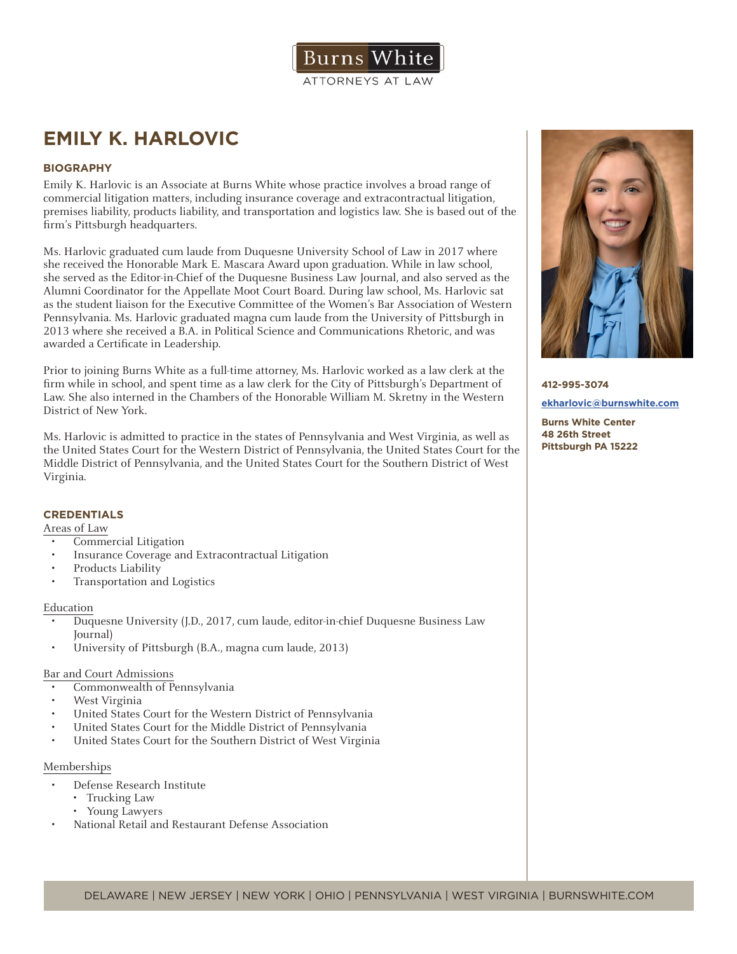

# **EMILY K. HARLOVIC**

## **BIOGRAPHY**

Emily K. Harlovic is an Associate at Burns White whose practice involves a broad range of commercial litigation matters, including insurance coverage and extracontractual litigation, premises liability, products liability, and transportation and logistics law. She is based out of the firm's Pittsburgh headquarters.

Ms. Harlovic graduated cum laude from Duquesne University School of Law in 2017 where she received the Honorable Mark E. Mascara Award upon graduation. While in law school, she served as the Editor-in-Chief of the Duquesne Business Law Journal, and also served as the Alumni Coordinator for the Appellate Moot Court Board. During law school, Ms. Harlovic sat as the student liaison for the Executive Committee of the Women's Bar Association of Western Pennsylvania. Ms. Harlovic graduated magna cum laude from the University of Pittsburgh in 2013 where she received a B.A. in Political Science and Communications Rhetoric, and was awarded a Certificate in Leadership.

Prior to joining Burns White as a full-time attorney, Ms. Harlovic worked as a law clerk at the firm while in school, and spent time as a law clerk for the City of Pittsburgh's Department of Law. She also interned in the Chambers of the Honorable William M. Skretny in the Western District of New York.

Ms. Harlovic is admitted to practice in the states of Pennsylvania and West Virginia, as well as the United States Court for the Western District of Pennsylvania, the United States Court for the Middle District of Pennsylvania, and the United States Court for the Southern District of West Virginia.

### **CREDENTIALS**

Areas of Law

- Commercial Litigation
- Insurance Coverage and Extracontractual Litigation
- Products Liability
- Transportation and Logistics

#### Education

- Duquesne University (J.D., 2017, cum laude, editor-in-chief Duquesne Business Law Journal)
- University of Pittsburgh (B.A., magna cum laude, 2013)

### Bar and Court Admissions

- Commonwealth of Pennsylvania
- West Virginia
- United States Court for the Western District of Pennsylvania
- United States Court for the Middle District of Pennsylvania
- United States Court for the Southern District of West Virginia

#### Memberships

- Defense Research Institute
	- Trucking Law
	- Young Lawyers
- National Retail and Restaurant Defense Association



## **412-995-3074 ekharlovic@burnswhite.com**

**Burns White Center 48 26th Street Pittsburgh PA 15222**